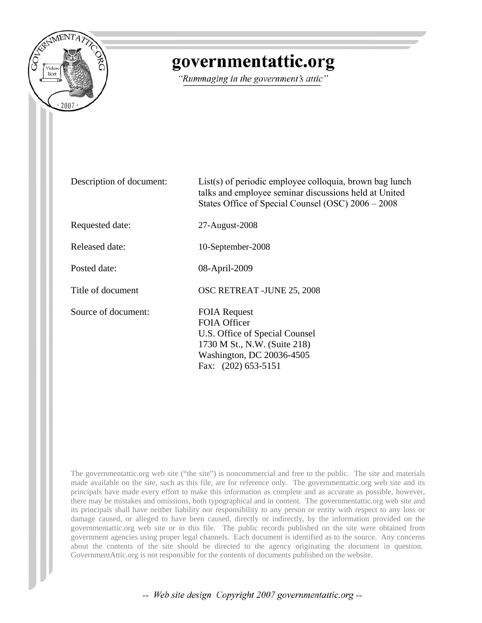

## **governmentattic.org**

"Rummaging in the government's attic"

| Description of document: | List(s) of periodic employee colloquia, brown bag lunch<br>talks and employee seminar discussions held at United<br>States Office of Special Counsel (OSC) 2006 – 2008 |  |
|--------------------------|------------------------------------------------------------------------------------------------------------------------------------------------------------------------|--|
| Requested date:          | 27-August-2008                                                                                                                                                         |  |
| Released date:           | 10-September-2008                                                                                                                                                      |  |
| Posted date:             | 08-April-2009                                                                                                                                                          |  |
| Title of document        | OSC RETREAT - JUNE 25, 2008                                                                                                                                            |  |
| Source of document:      | <b>FOIA Request</b><br><b>FOIA Officer</b><br>U.S. Office of Special Counsel<br>1730 M St., N.W. (Suite 218)<br>Washington, DC 20036-4505<br>Fax: (202) 653-5151       |  |

The governmentattic.org web site ("the site") is noncommercial and free to the public. The site and materials made available on the site, such as this file, are for reference only. The governmentattic.org web site and its principals have made every effort to make this information as complete and as accurate as possible, however, there may be mistakes and omissions, both typographical and in content. The governmentattic.org web site and its principals shall have neither liability nor responsibility to any person or entity with respect to any loss or damage caused, or alleged to have been caused, directly or indirectly, by the information provided on the governmentattic.org web site or in this file. The public records published on the site were obtained from government agencies using proper legal channels. Each document is identified as to the source. Any concerns about the contents of the site should be directed to the agency originating the document in question. GovernmentAttic.org is not responsible for the contents of documents published on the website.

-- *Web site design Copyright 2007 governmentattic.org* --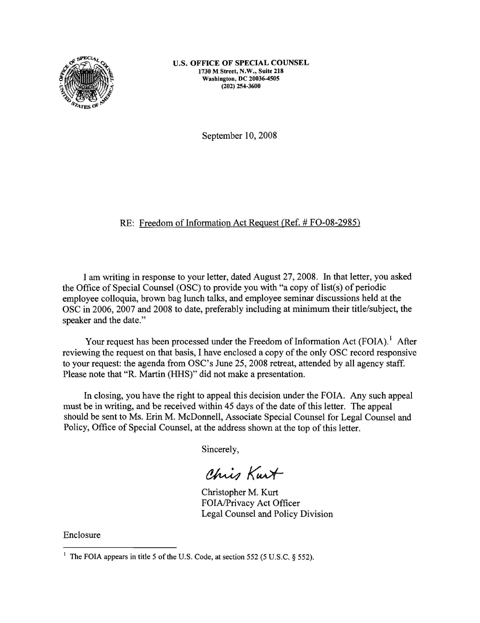

U.S. **OFFICE OF SPECIAL COUNSEL**  1730 **M** Street, **N.W.,** Suite 218 **Washington, DC 20036-4505 (202) 254-3600** 

September 10, 2008

## RE: Freedom of Information Act Request (Ref. # FO-08-2985)

I am writing in response to your letter, dated August 27, 2008. In that letter, you asked the Office of Special Counsel (OSC) to provide you with "a copy of list(s) of periodic employee colloquia, brown bag lunch talks, and employee seminar discussions held at the OSC in 2006, 2007 and 2008 to date, preferably including at minimum their title/subject, the speaker and the date."

Your request has been processed under the Freedom of Information Act (FOIA).<sup>1</sup> After reviewing the request on that basis, I have enclosed a copy of the only OSC record responsive to your request: the agenda from OSC's June 25, 2008 retreat, attended by all agency staff. Please note that "R. Martin (HHS)" did not make a presentation.

In closing, you have the right to appeal this decision under the FOIA. Any such appeal must be in writing, and be received within 45 days of the date of this letter. The appeal should be sent to Ms. Erin M. McDonnell, Associate Special Counsel for Legal Counsel and Policy, Office of Special Counsel, at the address shown at the top of this letter.

Sincerely,

Chris Kurt

Christopher M. Kurt FOIA/Privacy Act Officer Legal Counsel and Policy Division

Enclosure

<sup>&</sup>lt;sup>1</sup> The FOIA appears in title 5 of the U.S. Code, at section 552 (5 U.S.C.  $\S$  552).